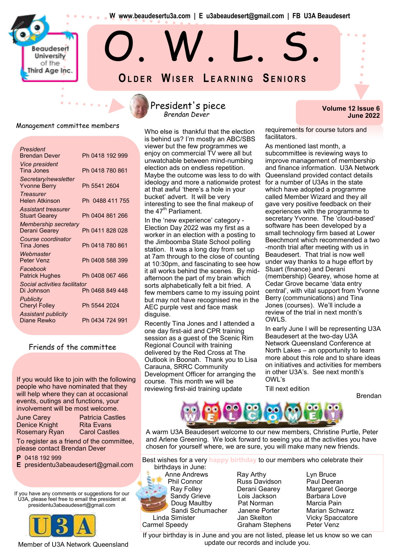**W www.beaudesertu3a.com | E u3abeaudesert@gmail.com | FB U3A Beaudesert**

O. W. L. S.

**OL D E R WI S E R L E A R N I N G SE N I O R S**

Management committee members

Beaudeserl University of the Third Age Inc.

| President<br><b>Brendan Dever</b>                  | Ph 0418 192 999 |
|----------------------------------------------------|-----------------|
| <i><b>Vice president</b></i><br>Tina Jones         | Ph 0418 780 861 |
| Secretary/newsletter<br><b>Yvonne Berry</b>        | Ph 5541 2604    |
| <b>Treasurer</b><br>Helen Atkinson                 | Ph 0488 411 755 |
| <b>Assistant treasurer</b><br><b>Stuart Gearey</b> | Ph 0404 861 266 |
| Membership secretary<br>Derani Gearey              | Ph 0411 828 028 |
| Course coordinator<br><b>Tina Jones</b>            | Ph 0418 780 861 |
| Webmaster<br>Peter Venz                            | Ph 0408 588 399 |
| Facebook<br><b>Patrick Hughes</b>                  | Ph 0408 067 466 |
| Social activities facilitator<br>Di Johnson        | Ph 0468 849 448 |
| <b>Publicity</b><br><b>Cheryl Folley</b>           | Ph 5544 2024    |
| <b>Assistant publicity</b><br>Diane Rewko          | Ph 0434 724 991 |

#### Friends of the committee

If you would like to join with the following people who have nominated that they will help where they can at occasional events, outings and functions, your involvement will be most welcome.

| June Carey    |  |
|---------------|--|
| Denice Knight |  |
| Rosemary Ryan |  |

**Patricia Castles Rita Evans Carol Castles** 

To register as a friend of the committee, please contact Brendan Dever

**P** 0418 192 999

**E** presidentu3abeaudesert@gmail.com

If you have any comments or suggestions for our U3A, please feel free to email the president at presidentu3abeaudesert@gmail.com



#### Member of U3A Network Queensland

### President's piece *Brendan Dever*

Who else is thankful that the election is behind us? I'm mostly an ABC/SBS viewer but the few programmes we enjoy on commercial TV were all but unwatchable between mind-numbing election ads on endless repetition. Maybe the outcome was less to do with ideology and more a nationwide protest at that awful 'there's a hole in your bucket' advert. It will be very interesting to see the final makeup of the  $47<sup>th</sup>$  Parliament.

In the 'new experience' category - Election Day 2022 was my first as a worker in an election with a posting to the Jimboomba State School polling station. It was a long day from set up at 7am through to the close of counting at 10:30pm, and fascinating to see how it all works behind the scenes. By midafternoon the part of my brain which sorts alphabetically felt a bit fried. A few members came to my issuing point but may not have recognised me in the AEC purple vest and face mask disguise.

Recently Tina Jones and I attended a one day first-aid and CPR training session as a guest of the Scenic Rim Regional Council with training delivered by the Red Cross at The Outlook in Boonah. Thank you to Lisa Carauna, SRRC Community Development Officer for arranging the course. This month we will be reviewing first-aid training update

#### **Volume 12 Issue 6 June 2022**

requirements for course tutors and facilitators.

As mentioned last month, a subcommittee is reviewing ways to improve management of membership and finance information. U3A Network Queensland provided contact details for a number of U3As in the state which have adopted a programme called Member Wizard and they all gave very positive feedback on their experiences with the programme to secretary Yvonne. The 'cloud-based' software has been developed by a small technology firm based at Lower Beechmont which recommended a two -month trial after meeting with us in Beaudesert. That trial is now well under way thanks to a huge effort by Stuart (finance) and Derani (membership) Gearey, whose home at Cedar Grove became 'data entry central', with vital support from Yvonne Berry (communications) and Tina Jones (courses). We'll include a review of the trial in next month's OWLS.

In early June I will be representing U3A Beaudesert at the two-day U3A Network Queensland Conference at North Lakes – an opportunity to learn more about this role and to share ideas on initiatives and activities for members in other U3A's. See next month's OWL's

Brendan

Till next edition



A warm U3A Beaudesert welcome to our new members, Christine Purtle, Peter and Arlene Greening. We look forward to seeing you at the activities you have chosen for yourself where, we are sure, you will make many new friends.

Best wishes for a very **happy birthday** to our members who celebrate their birthdays in June:

Anne Andrews **Ray Arthy Ray Arthy** Lyn Bruce Phil Connor Russ Davidson Paul Deeran Sandy Grieve Lois Jackson Barbara Love Doug Maultby Pat Norman Marcia Pain Carmel Speedy **Graham Stephens** Peter Venz

Ray Folley **Derani Gearey** Margaret George Sandi Schumacher Janene Porter Marian Schwarz Linda Simister **Jan Skelton** Vicky Spaccatore

If your birthday is in June and you are not listed, please let us know so we can update our records and include you.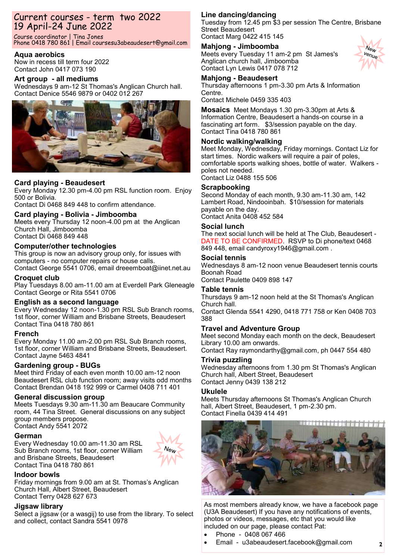# Current courses - term two 2022 19 April-24 June 2022

Course coordinator | Tina Jones Phone 0418 780 861 | Email coursesu3abeaudesert@gmail.com

#### **Aqua aerobics**

Now in recess till term four 2022 Contact John 0417 073 190

#### **Art group - all mediums**

Wednesdays 9 am-12 St Thomas's Anglican Church hall. Contact Denice 5546 9879 or 0402 012 267



#### **Card playing - Beaudesert**

Every Monday 12.30 pm-4.00 pm RSL function room. Enjoy 500 or Bolivia.

Contact Di 0468 849 448 to confirm attendance.

#### **Card playing - Bolivia - Jimboomba**

Meets every Thursday 12 noon-4.00 pm at the Anglican Church Hall, Jimboomba Contact Di 0468 849 448

#### **Computer/other technologies**

This group is now an advisory group only, for issues with computers - no computer repairs or house calls. Contact George 5541 0706, email dreeemboat@iinet.net.au

#### **Croquet club**

Play Tuesdays 8.00 am-11.00 am at Everdell Park Gleneagle Contact George or Rita 5541 0706

#### **English as a second language**

Every Wednesday 12 noon-1.30 pm RSL Sub Branch rooms, 1st floor, corner William and Brisbane Streets, Beaudesert Contact Tina 0418 780 861

#### **French**

Every Monday 11.00 am-2.00 pm RSL Sub Branch rooms, 1st floor, corner William and Brisbane Streets, Beaudesert. Contact Jayne 5463 4841

#### **Gardening group - BUGs**

Meet third Friday of each even month 10.00 am-12 noon Beaudesert RSL club function room; away visits odd months Contact Brendan 0418 192 999 or Carmel 0408 711 401

#### **General discussion group**

Meets Tuesdays 9.30 am-11.30 am Beaucare Community room, 44 Tina Street. General discussions on any subject group members propose. Contact Andy 5541 2072

#### **German**

Every Wednesday 10.00 am-11.30 am RSL Sub Branch rooms, 1st floor, corner William and Brisbane Streets, Beaudesert Contact Tina 0418 780 861



#### **Indoor bowls**

Friday mornings from 9.00 am at St. Thomas's Anglican Church Hall, Albert Street, Beaudesert Contact Terry 0428 627 673

#### **Jigsaw library**

Select a jigsaw (or a wasgij) to use from the library. To select and collect, contact Sandra 5541 0978

### **Line dancing/dancing**

Tuesday from 12.45 pm \$3 per session The Centre, Brisbane Street Beaudesert Contact Marg 0422 415 145

> $N_{\rm e}$ venue

### **Mahjong - Jimboomba**

Meets every Tuesday 11 am-2 pm St James's Anglican church hall, Jimboomba Contact Lyn Lewis 0417 078 712

#### **Mahjong - Beaudesert**

Thursday afternoons 1 pm-3.30 pm Arts & Information Centre.

Contact Michele 0459 335 403

**Mosaics** Meet Mondays 1.30 pm-3.30pm at Arts & Information Centre, Beaudesert a hands-on course in a fascinating art form. \$3/session payable on the day. Contact Tina 0418 780 861

#### **Nordic walking/walking**

Meet Monday, Wednesday, Friday mornings. Contact Liz for start times. Nordic walkers will require a pair of poles, comfortable sports walking shoes, bottle of water. Walkers poles not needed. Contact Liz 0488 155 506

**Scrapbooking** 

#### Second Monday of each month, 9.30 am-11.30 am, 142 Lambert Road, Nindooinbah. \$10/session for materials payable on the day.

Contact Anita 0408 452 584

#### **Social lunch**

The next social lunch will be held at The Club, Beaudesert - DATE TO BE CONFIRMED. RSVP to Di phone/text 0468 849 448, email candyroxy1946@gmail.com .

#### **Social tennis**

Wednesdays 8 am-12 noon venue Beaudesert tennis courts Boonah Road

Contact Paulette 0409 898 147

#### **Table tennis**

Thursdays 9 am-12 noon held at the St Thomas's Anglican Church hall.

Contact Glenda 5541 4290, 0418 771 758 or Ken [0408 703](tel:+61408703388)  [388](tel:+61408703388)

#### **Travel and Adventure Group**

Meet second Monday each month on the deck, Beaudesert Library 10.00 am onwards.

Contact Ray raymondarthy@gmail.com, ph 0447 554 480

#### **Trivia puzzling**

Wednesday afternoons from 1.30 pm St Thomas's Anglican Church hall, Albert Street, Beaudesert Contact Jenny 0439 138 212

#### **Ukulele**

Meets Thursday afternoons St Thomas's Anglican Church hall, Albert Street, Beaudesert, 1 pm-2.30 pm. Contact Finella 0439 414 491



As most members already know, we have a facebook page (U3A Beaudesert) If you have any notifications of events, photos or videos, messages, etc that you would like included on our page, please contact Pat:

- Phone 0408 067 466
- Email u3abeaudesert.facebook@gmail.com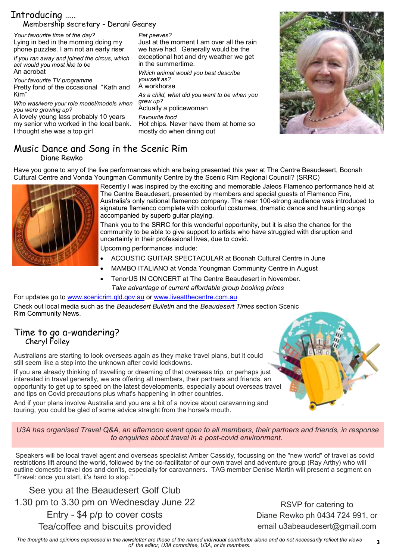# Introducing ….. Membership secretary - Derani Gearey

*Your favourite time of the day?* Lying in bed in the morning doing my phone puzzles. I am not an early riser *If you ran away and joined the circus, which act would you most like to be* An acrobat *Your favourite TV programme* Pretty fond of the occasional "Kath and Kim" *Who was/were your role model/models when you were growing up?* A lovely young lass probably 10 years my senior who worked in the local bank. I thought she was a top girl *Pet peeves?* Just at the moment I am over all the rain we have had. Generally would be the exceptional hot and dry weather we get in the summertime. *Which animal would you best describe yourself as?* A workhorse *As a child, what did you want to be when you grew up?*  Actually a policewoman *Favourite food* Hot chips. Never have them at home so mostly do when dining out



### Music Dance and Song in the Scenic Rim Diane Rewko

Have you gone to any of the live performances which are being presented this year at The Centre Beaudesert, Boonah Cultural Centre and Vonda Youngman Community Centre by the Scenic Rim Regional Council? (SRRC)



Recently I was inspired by the exciting and memorable Jaleos Flamenco performance held at The Centre Beaudesert, presented by members and special guests of Flamenco Fire, Australia's only national flamenco company. The near 100-strong audience was introduced to signature flamenco complete with colourful costumes, dramatic dance and haunting songs accompanied by superb guitar playing.

Thank you to the SRRC for this wonderful opportunity, but it is also the chance for the community to be able to give support to artists who have struggled with disruption and uncertainty in their professional lives, due to covid.

Upcoming performances include:

- ACOUSTIC GUITAR SPECTACULAR at Boonah Cultural Centre in June
- MAMBO ITALIANO at Vonda Youngman Community Centre in August
- TenorUS IN CONCERT at The Centre Beaudesert in November. *Take advantage of current affordable group booking prices*

For updates go to [www.scenicrim.qld.gov.au](http://www.scenicrim.qld.gov.au/) or [www.liveatthecentre.com.au](http://www.liveaththecentre.com.au/) Check out local media such as the *Beaudesert Bulletin* and the *Beaudesert Times* section Scenic Rim Community News.

# Time to go a-wandering? Cheryl Folley

Australians are starting to look overseas again as they make travel plans, but it could still seem like a step into the unknown after covid lockdowns.

If you are already thinking of travelling or dreaming of that overseas trip, or perhaps just interested in travel generally, we are offering all members, their partners and friends, an opportunity to get up to speed on the latest developments, especially about overseas travel and tips on Covid precautions plus what's happening in other countries.

And if your plans involve Australia and you are a bit of a novice about caravanning and touring, you could be glad of some advice straight from the horse's mouth.

*U3A has organised Travel Q&A, an afternoon event open to all members, their partners and friends, in response to enquiries about travel in a post-covid environment.*

Speakers will be local travel agent and overseas specialist Amber Cassidy, focussing on the "new world" of travel as covid restrictions lift around the world, followed by the co-facilitator of our own travel and adventure group (Ray Arthy) who will outline domestic travel dos and don'ts, especially for caravanners. TAG member Denise Martin will present a segment on "Travel: once you start, it's hard to stop."

See you at the Beaudesert Golf Club 1.30 pm to 3.30 pm on Wednesday June 22 Entry - \$4 p/p to cover costs Tea/coffee and biscuits provided

RSVP for catering to Diane Rewko ph 0434 724 991, or email u3abeaudesert@gmail.com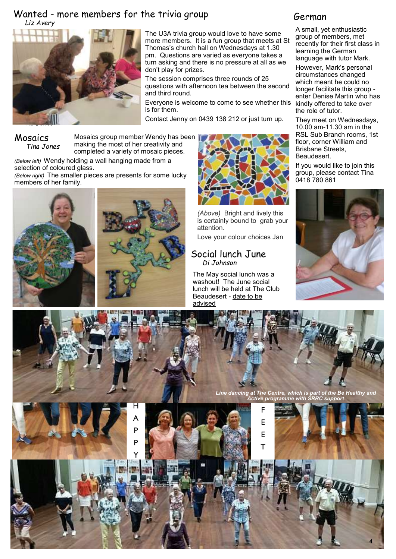# Wanted - more members for the trivia group *Liz Avery*



The U3A trivia group would love to have some more members. It is a fun group that meets at St Thomas's church hall on Wednesdays at 1.30 pm. Questions are varied as everyone takes a turn asking and there is no pressure at all as we don't play for prizes.

The session comprises three rounds of 25 questions with afternoon tea between the second and third round.

Everyone is welcome to come to see whether this is for them.

Contact Jenny on 0439 138 212 or just turn up.

Mosaics *Tina Jones*

Mosaics group member Wendy has been making the most of her creativity and completed a variety of mosaic pieces.

*(Below left)* Wendy holding a wall hanging made from a selection of coloured glass.

*(Below right)* The smaller pieces are presents for some lucky members of her family.







*(Above)* Bright and lively this is certainly bound to grab your attention.

Love your colour choices Jan

# Social lunch June *Di Johnson*

The May social lunch was a washout! The June social lunch will be held at The Club Beaudesert - date to be advised

# German

A small, yet enthusiastic group of members, met recently for their first class in learning the German language with tutor Mark.

However, Mark's personal circumstances changed which meant he could no longer facilitate this group enter Denise Martin who has kindly offered to take over the role of tutor.

They meet on Wednesdays, 10.00 am-11.30 am in the RSL Sub Branch rooms, 1st floor, corner William and Brisbane Streets, Beaudesert.

If you would like to join this group, please contact Tina 0418 780 861



*Line dancing at The Centre, which is part of the Be Healthy and* 

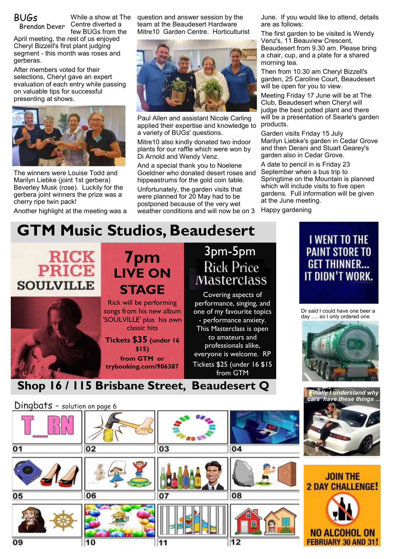BUGs

Brendan Dever

While a show at The Centre diverted a few BUGs from the

April meeting, the rest of us enjoyed Cheryl Bizzell's first plant judging segment - this month was roses and gerberas.

After members voted for their selections, Cheryl gave an expert evaluation of each entry while passing on valuable tips for successful presenting at shows.



The winners were Louise Todd and Marilyn Liebke (joint 1st gerbera) Beverley Musk (rose). Luckily for the gerbera joint winners the prize was a cherry ripe twin pack!

Another highlight at the meeting was a

question and answer session by the team at the Beaudesert Hardware Mitre10 Garden Centre. Horticulturist



Paul Allen and assistant Nicole Carling applied their expertise and knowledge to a variety of BUGs' questions.

Mitre10 also kindly donated two indoor plants for our raffle which were won by Di Arnold and Wendy Venz.

And a special thank you to Noelene Goeldner who donated desert roses and hippeastrums for the gold coin table. Unfortunately, the garden visits that were planned for 20 May had to be postponed because of the very wet weather conditions and will now be on 3

June. If you would like to attend, details are as follows:

The first garden to be visited is Wendy Venz's, 11 Beauview Crescent, Beaudesert from 9.30 am. Please bring a chair, cup, and a plate for a shared morning tea.

Then from 10.30 am Cheryl Bizzell's garden, 25 Caroline Court, Beaudesert will be open for you to view.

Meeting Friday 17 June will be at The Club, Beaudesert when Cheryl will judge the best potted plant and there will be a presentation of Searle's garden products.

Garden visits Friday 15 July Marilyn Liebke's garden in Cedar Grove and then Derani and Stuart Gearey's garden also in Cedar Grove.

A date to pencil in is Friday 23 September when a bus trip to Springtime on the Mountain is planned which will include visits to five open gardens. Full information will be given at the June meeting.

Happy gardening

# **GTM Music Studios, Beaudesert**